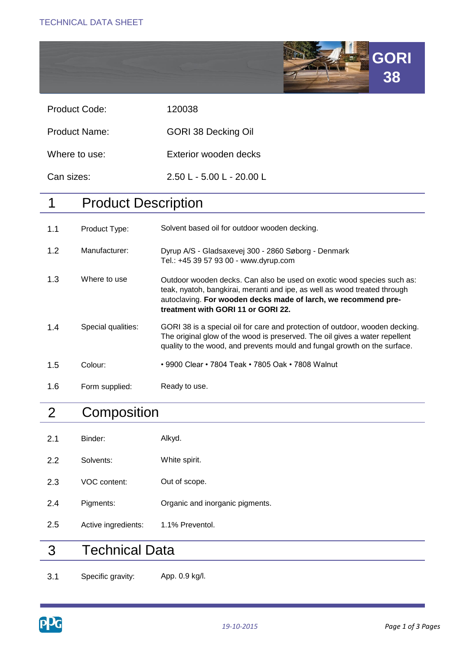

| <b>Product Code:</b> | 120038 |
|----------------------|--------|
|                      |        |

Product Name: GORI 38 Decking Oil

Where to use: Exterior wooden decks

Can sizes: 2.50 L - 5.00 L - 20.00 L

# 1 Product Description

| 1.1 | Product Type:      | Solvent based oil for outdoor wooden decking.                                                                                                                                                                                                               |
|-----|--------------------|-------------------------------------------------------------------------------------------------------------------------------------------------------------------------------------------------------------------------------------------------------------|
| 1.2 | Manufacturer:      | Dyrup A/S - Gladsaxevej 300 - 2860 Søborg - Denmark<br>Tel.: +45 39 57 93 00 - www.dyrup.com                                                                                                                                                                |
| 1.3 | Where to use       | Outdoor wooden decks. Can also be used on exotic wood species such as:<br>teak, nyatoh, bangkirai, meranti and ipe, as well as wood treated through<br>autoclaving. For wooden decks made of larch, we recommend pre-<br>treatment with GORI 11 or GORI 22. |
| 1.4 | Special qualities: | GORI 38 is a special oil for care and protection of outdoor, wooden decking.<br>The original glow of the wood is preserved. The oil gives a water repellent<br>quality to the wood, and prevents mould and fungal growth on the surface.                    |
| 1.5 | Colour:            | • 9900 Clear • 7804 Teak • 7805 Oak • 7808 Walnut                                                                                                                                                                                                           |
| 1.6 | Form supplied:     | Ready to use.                                                                                                                                                                                                                                               |

## 2 **Composition**

- 2.1 Binder: Alkyd.
- 2.2 Solvents: White spirit.
- 2.3 VOC content: Out of scope.
- 2.4 Pigments: Organic and inorganic pigments.
- 2.5 Active ingredients: 1.1% Preventol.

### 3 Technical Data

3.1 Specific gravity: App. 0.9 kg/l.

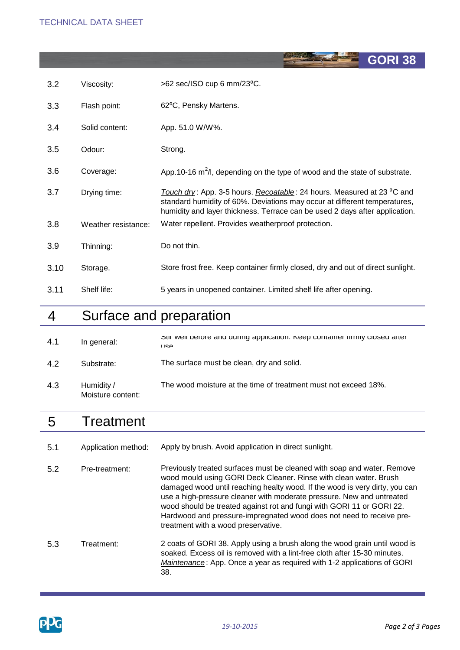| 3.2  | Viscosity:          | >62 sec/ISO cup 6 mm/23°C.                                                                                                                                                                                                         |
|------|---------------------|------------------------------------------------------------------------------------------------------------------------------------------------------------------------------------------------------------------------------------|
| 3.3  | Flash point:        | 62°C, Pensky Martens.                                                                                                                                                                                                              |
| 3.4  | Solid content:      | App. 51.0 W/W%.                                                                                                                                                                                                                    |
| 3.5  | Odour:              | Strong.                                                                                                                                                                                                                            |
| 3.6  | Coverage:           | App. 10-16 $m^2/l$ , depending on the type of wood and the state of substrate.                                                                                                                                                     |
| 3.7  | Drying time:        | Touch dry: App. 3-5 hours. Recoatable: 24 hours. Measured at 23 °C and<br>standard humidity of 60%. Deviations may occur at different temperatures,<br>humidity and layer thickness. Terrace can be used 2 days after application. |
| 3.8  | Weather resistance: | Water repellent. Provides weatherproof protection.                                                                                                                                                                                 |
| 3.9  | Thinning:           | Do not thin.                                                                                                                                                                                                                       |
| 3.10 | Storage.            | Store frost free. Keep container firmly closed, dry and out of direct sunlight.                                                                                                                                                    |
| 3.11 | Shelf life:         | 5 years in unopened container. Limited shelf life after opening.                                                                                                                                                                   |

### 4 Surface and preparation

| 4.1 | In general:                     | Sur well before and during application. Neep container infinity closed arter<br>1194 |
|-----|---------------------------------|--------------------------------------------------------------------------------------|
| 4.2 | Substrate:                      | The surface must be clean, dry and solid.                                            |
| 4.3 | Humidity /<br>Moisture content: | The wood moisture at the time of treatment must not exceed 18%.                      |

### 5 **Treatment**

5.1 Application method: Apply by brush. Avoid application in direct sunlight.

5.2 Pre-treatment: 5.3 Treatment: Previously treated surfaces must be cleaned with soap and water. Remove wood mould using GORI Deck Cleaner. Rinse with clean water. Brush damaged wood until reaching healty wood. If the wood is very dirty, you can use a high-pressure cleaner with moderate pressure. New and untreated wood should be treated against rot and fungi with GORI 11 or GORI 22. Hardwood and pressure-impregnated wood does not need to receive pretreatment with a wood preservative. 2 coats of GORI 38. Apply using a brush along the wood grain until wood is

soaked. Excess oil is removed with a lint-free cloth after 15-30 minutes. *Maintenance* : App. Once a year as required with 1-2 applications of GORI 38.



**GORI 38**

**REACTE**